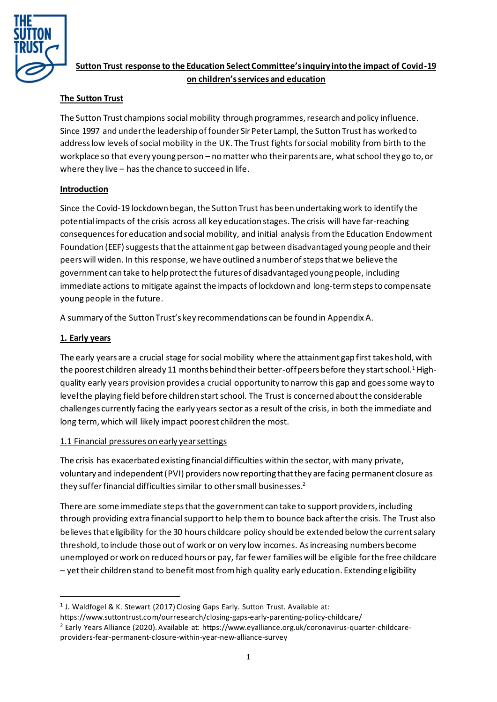

# **Sutton Trust response to the Education Select Committee's inquiry into the impact of Covid-19 on children's services and education**

# **The Sutton Trust**

The Sutton Trust champions social mobility through programmes, research and policy influence. Since 1997 and under the leadership of founder Sir Peter Lampl, the Sutton Trust has worked to address low levels of social mobility in the UK. The Trust fights for social mobility from birth to the workplace so that every young person – no matter who their parents are, what school they go to, or where they live – has the chance to succeed in life.

## **Introduction**

Since the Covid-19 lockdown began, the Sutton Trust has been undertaking work to identify the potential impacts of the crisis across all key education stages. The crisis will have far-reaching consequences for education and social mobility, and initial analysis from the Education Endowment Foundation (EEF) suggeststhat the attainment gap between disadvantaged young people and their peers will widen. In this response, we have outlined a number of steps that we believe the government can take to help protect the futures of disadvantaged young people, including immediate actions to mitigate against the impacts of lockdown and long-term steps to compensate young people in the future.

A summary of the Sutton Trust's key recommendations can be found in Appendix A.

# **1. Early years**

The early years are a crucial stage for social mobility where the attainment gap first takes hold, with the poorest children already 11 months behind their better-off peers before they start school.<sup>1</sup> Highquality early years provision provides a crucial opportunity to narrow this gap and goes some way to level the playing field before children start school. The Trust is concerned about the considerable challenges currently facing the early years sector as a result of the crisis, in both the immediate and long term, which will likely impact poorest children the most.

## 1.1 Financial pressures on early year settings

The crisis has exacerbated existing financial difficulties within the sector, with many private, voluntary and independent (PVI) providers now reporting that they are facing permanent closure as they suffer financial difficulties similar to other small businesses. $^{\text{2}}$ 

There are some immediate steps that the government can take to support providers, including through providing extra financial support to help them to bounce back after the crisis. The Trust also believes that eligibility for the 30 hours childcare policy should be extended below the current salary threshold, to include those out of work or on very low incomes. As increasing numbers become unemployed or work on reduced hours or pay, far fewer families will be eligible for the free childcare – yet their children stand to benefit most from high quality early education. Extending eligibility

<sup>&</sup>lt;sup>1</sup> J. Waldfogel & K. Stewart (2017) Closing Gaps Early. Sutton Trust. Available at:

https://www.suttontrust.com/ourresearch/closing-gaps-early-parenting-policy-childcare/ <sup>2</sup> Early Years Alliance (2020). Available at: [https://www.eyalliance.org.uk/coronavirus-quarter-childcare](https://www.eyalliance.org.uk/coronavirus-quarter-childcare-providers-fear-permanent-closure-within-year-new-alliance-survey)[providers-fear-permanent-closure-within-year-new-alliance-survey](https://www.eyalliance.org.uk/coronavirus-quarter-childcare-providers-fear-permanent-closure-within-year-new-alliance-survey)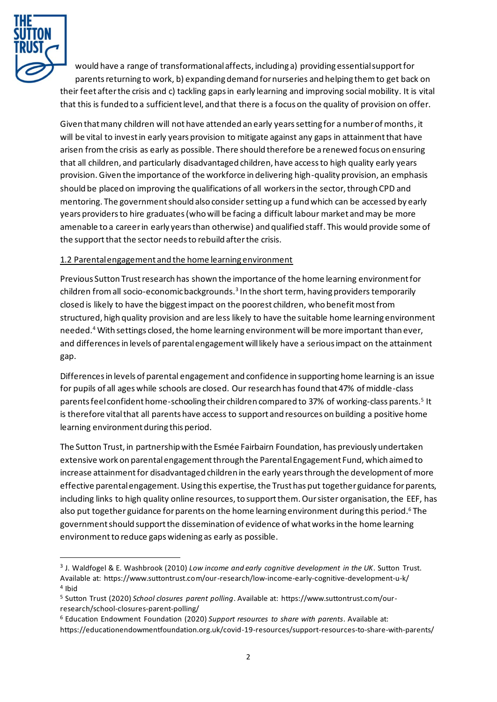

would have a range of transformational affects, including a) providing essential support for parents returning to work, b) expanding demand for nurseries and helping them to get back on their feet after the crisis and c) tackling gaps in early learning and improving social mobility. It is vital that this is funded to a sufficient level, and that there is a focus on the quality of provision on offer.

Given that many children will not have attended an early years setting for a number of months, it will be vital to invest in early years provision to mitigate against any gaps in attainment that have arisen from the crisis as early as possible. There should therefore be a renewed focus on ensuring that all children, and particularly disadvantaged children, have access to high quality early years provision. Given the importance of the workforce in delivering high-quality provision, an emphasis should be placed on improving the qualifications of all workers in the sector, through CPD and mentoring. The government should also consider setting up a fund which can be accessed by early years providers to hire graduates (who will be facing a difficult labour market and may be more amenable to a career in early years than otherwise) and qualified staff. This would provide some of the support that the sector needs to rebuild after the crisis.

## 1.2 Parental engagement and the home learning environment

Previous Sutton Trust research has shown the importance of the home learning environment for children from all socio-economic backgrounds. $^3$  In the short term, having providers temporarily closed is likely to have the biggest impact on the poorest children, who benefit most from structured, high quality provision and are less likely to have the suitable home learning environment needed.<sup>4</sup> With settings closed, the home learning environment will be more important than ever, and differences in levels of parental engagement will likely have a serious impact on the attainment gap.

Differences in levels of parental engagement and confidence in supporting home learning is an issue for pupils of all ages while schools are closed. Our research has found that 47% of middle-class parents feel confident home-schooling their children compared to 37% of working-class parents.<sup>5</sup> It is therefore vital that all parents have access to support and resources on building a positive home learning environment during this period.

The Sutton Trust, in partnership with the Esmée Fairbairn Foundation, has previously undertaken extensive work on parental engagement through the Parental Engagement Fund, which aimed to increase attainment for disadvantaged children in the early years through the development of more effective parental engagement. Using this expertise, the Trust has put together guidance for parents, including links to high quality online resources, to support them. Our sister organisation, the EEF, has also put together guidance for parents on the home learning environment during this period.<sup>6</sup> The government should support the dissemination of evidence of what works in the home learning environment to reduce gaps widening as early as possible.

<sup>3</sup> J. Waldfogel & E. Washbrook (2010) *Low income and early cognitive development in the UK*. Sutton Trust. Available at: https://www.suttontrust.com/our-research/low-income-early-cognitive-development-u-k/ 4 Ibid

<sup>5</sup> Sutton Trust (2020) *School closures parent polling*. Available at: [https://www.suttontrust.com/our](https://www.suttontrust.com/our-research/school-closures-parent-polling/)[research/school-closures-parent-polling/](https://www.suttontrust.com/our-research/school-closures-parent-polling/)

<sup>6</sup> Education Endowment Foundation (2020) *Support resources to share with parents*. Available at: <https://educationendowmentfoundation.org.uk/covid-19-resources/support-resources-to-share-with-parents/>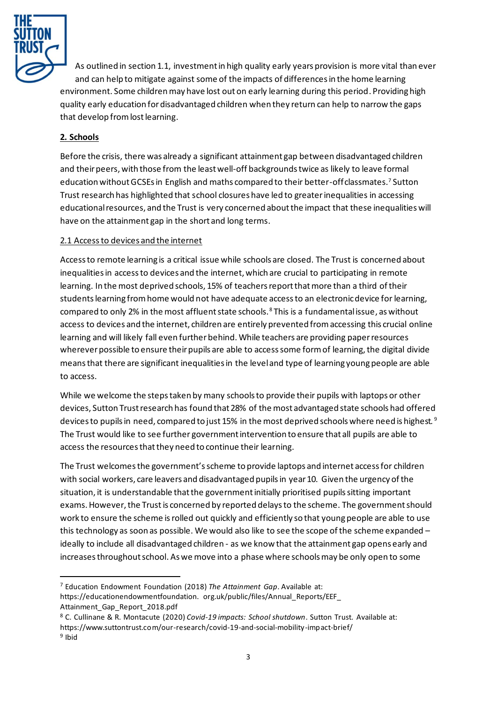

As outlined in section 1.1, investment in high quality early years provision is more vital than ever and can help to mitigate against some of the impacts of differences in the home learning environment. Some children may have lost out on early learning during this period. Providing high quality early education for disadvantaged children when they return can help to narrow the gaps that develop from lost learning.

# **2. Schools**

Before the crisis, there was already a significant attainment gap between disadvantaged children and their peers, with those from the least well-off backgrounds twice as likely to leave formal education without GCSEs in English and maths compared to their better-off classmates.<sup>7</sup> Sutton Trust research has highlighted that school closures have led to greater inequalities in accessing educationalresources, and the Trust is very concerned about the impact that these inequalities will have on the attainment gap in the short and long terms.

## 2.1 Access to devices and the internet

Access to remote learning is a critical issue while schools are closed. The Trust is concerned about inequalities in access to devices and the internet, which are crucial to participating in remote learning. In the most deprived schools, 15% of teachers report that more than a third of their students learning from home would not have adequate access to an electronic device for learning, compared to only 2% in the most affluent state schools. $8$  This is a fundamental issue, as without access to devices and the internet, children are entirely prevented from accessing this crucial online learning and will likely fall even further behind. While teachers are providing paper resources wherever possible to ensure their pupils are able to access some form of learning, the digital divide means that there are significant inequalities in the level and type of learning young people are able to access.

While we welcome the steps taken by many schools to provide their pupils with laptops or other devices, Sutton Trust research has found that 28% of the most advantaged state schools had offered devices to pupils in need, compared to just 15% in the most deprived schools where need is highest.<sup>9</sup> The Trust would like to see further government intervention to ensure that all pupils are able to access the resources that they need to continue their learning.

The Trust welcomesthe government's scheme to provide laptops and internet access for children with social workers, care leavers and disadvantaged pupils in year 10. Given the urgency of the situation, it is understandable that the government initially prioritised pupils sitting important exams. However, the Trust is concerned by reported delays to the scheme. The government should work to ensure the scheme is rolled out quickly and efficiently so that young people are able to use this technology as soon as possible. We would also like to see the scope of the scheme expanded – ideally to include all disadvantaged children - as we know that the attainment gap opens early and increases throughout school. As we move into a phase where schools may be only open to some

<sup>7</sup> Education Endowment Foundation (2018) *The Attainment Gap*. Available at:

https://educationendowmentfoundation. org.uk/public/files/Annual\_Reports/EEF\_ Attainment\_Gap\_Report\_2018.pdf

<sup>8</sup> C. Cullinane & R. Montacute (2020) *Covid-19 impacts: School shutdown*. Sutton Trust. Available at: <https://www.suttontrust.com/our-research/covid-19-and-social-mobility-impact-brief/> <sup>9</sup> Ibid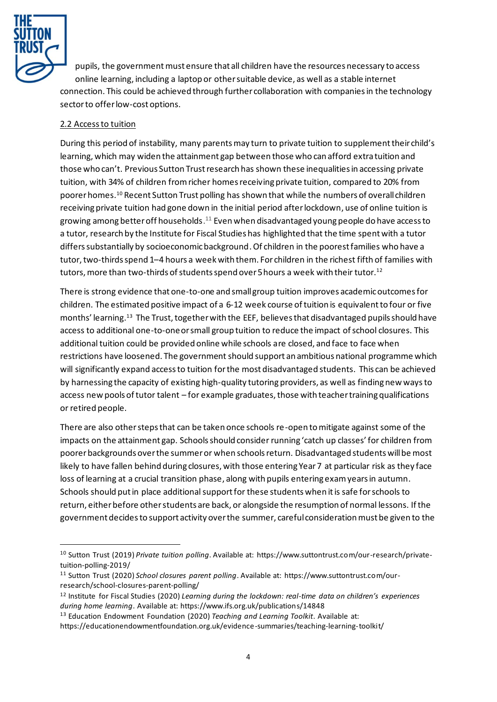

pupils, the government must ensure that all children have the resources necessary to access online learning, including a laptop or other suitable device, as well as a stable internet connection. This could be achieved through further collaboration with companies in the technology sectorto offer low-cost options.

## 2.2 Access to tuition

During this period of instability, many parents may turn to private tuition to supplement their child's learning, which may widen the attainment gap between those who can afford extra tuition and those who can't. Previous Sutton Trust research has shown these inequalities in accessing private tuition, with 34% of children from richer homes receivingprivate tuition, compared to 20% from poorer homes. <sup>10</sup> Recent Sutton Trust polling has shown that while the numbers of overall children receiving private tuition had gone down in the initial period after lockdown, use of online tuition is growing among better off households. <sup>11</sup> Even when disadvantaged young people do have access to a tutor, research by the Institute for Fiscal Studies has highlighted that the time spent with a tutor differs substantially by socioeconomic background. Of children in the poorest families who have a tutor, two-thirds spend 1–4 hours a week with them. For children in the richest fifth of families with tutors, more than two-thirds of students spend over 5 hours a week with their tutor.<sup>12</sup>

There is strong evidence that one-to-one and small group tuition improves academic outcomes for children. The estimated positive impact of a 6-12 week course of tuition is equivalent to four or five months' learning. <sup>13</sup> The Trust, together with the EEF, believesthat disadvantaged pupils should have access to additional one-to-one or small group tuition to reduce the impact of school closures. This additional tuition could be provided online while schools are closed, and face to face when restrictions have loosened. The government should support an ambitious national programme which will significantly expand access to tuition for the most disadvantaged students. This can be achieved by harnessing the capacity of existing high-quality tutoring providers, as well as finding new ways to access new pools of tutor talent – for example graduates, those with teacher training qualifications or retired people.

There are also other steps that can be taken once schools re-open to mitigate against some of the impacts on the attainment gap. Schools should consider running 'catch up classes' for children from poorer backgrounds over the summer or when schools return. Disadvantaged students will be most likely to have fallen behind during closures, with those entering Year 7 at particular risk as they face loss of learning at a crucial transition phase, along with pupils entering exam years in autumn. Schools should put in place additional support for these students when it is safe for schools to return, either before other students are back, or alongside the resumption of normal lessons. If the government decides to support activity over the summer, careful consideration must be given to the

<sup>10</sup> Sutton Trust (2019) *Private tuition polling*. Available at[: https://www.suttontrust.com/our-research/private](https://www.suttontrust.com/our-research/private-tuition-polling-2019/)[tuition-polling-2019/](https://www.suttontrust.com/our-research/private-tuition-polling-2019/)

<sup>11</sup> Sutton Trust (2020) *School closures parent polling*. Available at: [https://www.suttontrust.com/our](https://www.suttontrust.com/our-research/school-closures-parent-polling/)[research/school-closures-parent-polling/](https://www.suttontrust.com/our-research/school-closures-parent-polling/)

<sup>12</sup> Institute for Fiscal Studies (2020) *Learning during the lockdown: real-time data on children's experiences during home learning*. Available at:<https://www.ifs.org.uk/publications/14848>

<sup>13</sup> Education Endowment Foundation (2020) *Teaching and Learning Toolkit*. Available at:

<https://educationendowmentfoundation.org.uk/evidence-summaries/teaching-learning-toolkit/>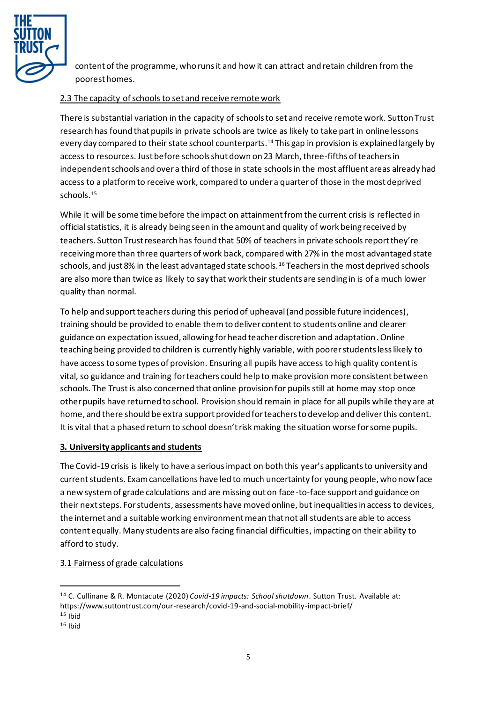

content of the programme, who runs it and how it can attract and retain children from the poorest homes.

## 2.3 The capacity of schools to set and receive remote work

There is substantial variation in the capacity of schools to set and receive remote work. Sutton Trust research has found that pupils in private schools are twice as likely to take part in online lessons every day compared to their state school counterparts. <sup>14</sup> This gap in provision is explained largely by access to resources. Just before schools shut down on 23 March, three-fifths of teachers in independent schools and over a third of those in state schools in the most affluent areas already had access to a platform to receive work, compared to under a quarter of those in the most deprived schools.<sup>15</sup>

While it will be some time before the impact on attainment from the current crisis is reflected in official statistics, it is already being seen in the amount and quality of work being received by teachers. Sutton Trust research has found that 50% of teachers in private schools report they're receiving more than three quarters of work back, compared with 27% in the most advantaged state schools, and just 8% in the least advantaged state schools.<sup>16</sup> Teachers in the most deprived schools are also more than twice as likely to say that work their students are sending in is of a much lower quality than normal.

To help and support teachers during this period of upheaval(and possible future incidences), training should be provided to enable themto deliver content to students online and clearer guidance on expectation issued, allowing for head teacher discretion and adaptation.Online teaching being provided to children is currently highly variable, with poorer students less likely to have access to some types of provision. Ensuring all pupils have access to high quality content is vital, so guidance and training for teachers could help to make provision more consistent between schools. The Trust is also concerned that online provision for pupils still at home may stop once other pupils have returned to school. Provision should remain in place for all pupils while they are at home, and there should be extra support provided for teachers to develop and deliver this content. It is vital that a phased return to school doesn't risk making the situation worse for some pupils.

#### **3. University applicants and students**

The Covid-19 crisis is likely to have a serious impact on both this year's applicants to university and current students. Exam cancellations have led to much uncertainty for young people, who now face a new system of grade calculations and are missing out on face-to-face support and guidance on their next steps. For students, assessments have moved online, but inequalities in access to devices, the internet and a suitable working environment mean that not all students are able to access content equally. Many students are also facing financial difficulties, impacting on their ability to afford to study.

#### 3.1 Fairness of grade calculations

<sup>14</sup> C. Cullinane & R. Montacute (2020) *Covid-19 impacts: School shutdown*. Sutton Trust. Available at: <https://www.suttontrust.com/our-research/covid-19-and-social-mobility-impact-brief/>

 $15$  Ibid

 $16$  Ibid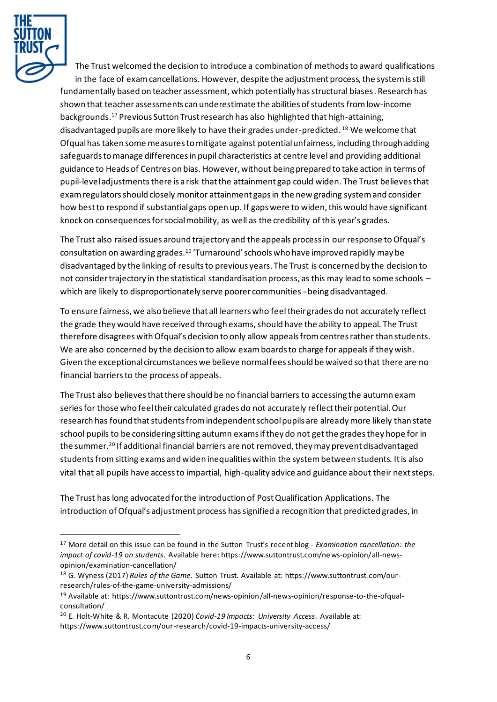

The Trust welcomed the decision to introduce a combination of methods to award qualifications in the face of exam cancellations. However, despite the adjustment process, the system is still fundamentally based on teacher assessment, which potentially has structural biases. Research has shown that teacher assessments can underestimate the abilities of students from low-income backgrounds. <sup>17</sup> Previous Sutton Trust research has also highlighted that high-attaining, disadvantaged pupils are more likely to have their grades under-predicted. <sup>18</sup> We welcome that Ofqual has taken some measures to mitigate against potential unfairness, including through adding safeguards to manage differences in pupil characteristics at centre level and providing additional guidance to Heads of Centres on bias. However, without being prepared to take action in terms of pupil-level adjustments there is a risk that the attainment gap could widen. The Trust believes that exam regulators should closely monitor attainment gaps in the new grading system and consider how best to respond if substantial gaps open up. If gaps were to widen, this would have significant knock on consequences for social mobility, as well as the credibility of this year's grades.

The Trust also raised issues around trajectory and the appeals process in our response to Ofqual's consultation on awarding grades.<sup>19</sup> 'Turnaround' schools who have improved rapidly may be disadvantaged by the linking of results to previous years. The Trust is concerned by the decision to not consider trajectory in the statistical standardisation process, as this may lead to some schools – which are likely to disproportionately serve poorer communities - being disadvantaged.

To ensure fairness, we also believe that all learners who feeltheir grades do not accurately reflect the grade they would have received through exams, should have the ability to appeal. The Trust therefore disagrees with Ofqual's decision to only allow appeals from centres rather than students. We are also concerned by the decision to allow exam boards to charge for appeals if they wish. Given the exceptional circumstances we believe normal fees should be waived so that there are no financial barriers to the process of appeals.

The Trust also believes that there should be no financial barriers to accessing the autumn exam series for those who feel their calculated grades do not accurately reflect their potential. Our research has found that students from independent school pupils are already more likely than state school pupils to be considering sitting autumn exams if they do not get the grades they hope for in the summer.<sup>20</sup> If additional financial barriers are not removed, they may prevent disadvantaged students from sitting exams and widen inequalities within the system between students. It is also vital that all pupils have access to impartial, high-quality advice and guidance about their next steps.

The Trust has long advocated for the introduction of Post Qualification Applications. The introduction of Ofqual's adjustment process has signified a recognition that predicted grades, in

<sup>17</sup> More detail on this issue can be found in the Sutton Trust's recent blog - *Examination cancellation: the impact of covid-19 on students*. Available here[: https://www.suttontrust.com/ne ws-opinion/all-news](https://www.suttontrust.com/news-opinion/all-news-opinion/examination-cancellation/)[opinion/examination-cancellation/](https://www.suttontrust.com/news-opinion/all-news-opinion/examination-cancellation/)

<sup>18</sup> G. Wyness (2017) *Rules of the Game*. Sutton Trust. Available at: [https://www.suttontrust.com/our](https://www.suttontrust.com/our-research/rules-of-the-game-university-admissions/)[research/rules-of-the-game-university-admissions/](https://www.suttontrust.com/our-research/rules-of-the-game-university-admissions/)

<sup>19</sup> Available at: [https://www.suttontrust.com/news-opinion/all-news-opinion/response-to-the-ofqual](https://www.suttontrust.com/news-opinion/all-news-opinion/response-to-the-ofqual-consultation/)[consultation/](https://www.suttontrust.com/news-opinion/all-news-opinion/response-to-the-ofqual-consultation/)

<sup>20</sup> E. Holt-White & R. Montacute (2020) *Covid-19 Impacts: University Access*. Available at: <https://www.suttontrust.com/our-research/covid-19-impacts-university-access/>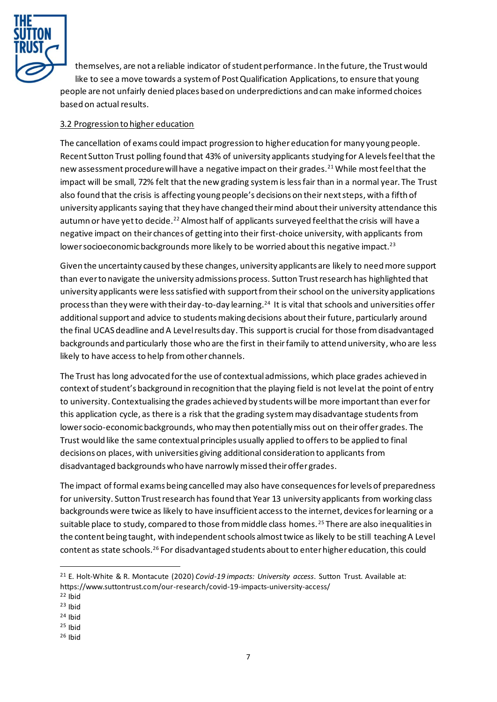

themselves, are not a reliable indicator of student performance. In the future, the Trust would like to see a move towards a system of Post Qualification Applications, to ensure that young people are not unfairly denied places based on underpredictions and can make informed choices based on actual results.

## 3.2 Progression to higher education

The cancellation of exams could impact progression to higher education for many young people. Recent Sutton Trust polling found that 43% of university applicants studying for A levels feel that the new assessment procedure will have a negative impact on their grades.<sup>21</sup> While most feel that the impact will be small, 72% felt that the new grading system is less fair than in a normal year. The Trust also found that the crisis is affecting young people's decisions on their next steps, with a fifth of university applicants saying that they have changed their mind about their university attendance this autumn or have yet to decide.<sup>22</sup> Almost half of applicants surveyed feel that the crisis will have a negative impact on their chances of getting into their first-choice university, with applicants from lower socioeconomic backgrounds more likely to be worried about this negative impact.<sup>23</sup>

Given the uncertainty caused by these changes, university applicants are likely to need more support than ever to navigate the university admissions process. Sutton Trust research has highlighted that university applicants were less satisfied with support from their school on the university applications process than they were with their day-to-day learning.<sup>24</sup> It is vital that schools and universities offer additional support and advice to students making decisions abouttheir future, particularly around the final UCAS deadline and A Level results day. This support is crucial for those from disadvantaged backgrounds and particularly those who are the first in their family to attend university, who are less likely to have access to help from other channels.

The Trust has long advocated for the use of contextual admissions, which place grades achieved in context of student's background in recognition that the playing field is not level at the point of entry to university. Contextualising the grades achieved by students will be more important than ever for this application cycle, as there is a risk that the grading system may disadvantage students from lower socio-economic backgrounds, who may then potentially miss out on their offer grades. The Trust would like the same contextual principles usually applied to offers to be applied to final decisions on places, with universities giving additional consideration to applicants from disadvantaged backgrounds who have narrowly missed their offer grades.

The impact of formal exams being cancelled may also have consequences forlevels of preparedness for university. Sutton Trust research has found that Year 13 university applicants from working class backgrounds were twice as likely to have insufficient access to the internet, devices for learning or a suitable place to study, compared to those from middle class homes.<sup>25</sup> There are also inequalities in the content being taught, with independent schools almost twice as likely to be still teaching A Level content as state schools.<sup>26</sup> For disadvantaged students about to enter higher education, this could

- <sup>22</sup> Ibid
- $23$  Ibid
- <sup>24</sup> Ibid
- $25$  Ibid
- $26$  Ibid

<sup>21</sup> E. Holt-White & R. Montacute (2020) *Covid-19 impacts: University access*. Sutton Trust. Available at: <https://www.suttontrust.com/our-research/covid-19-impacts-university-access/>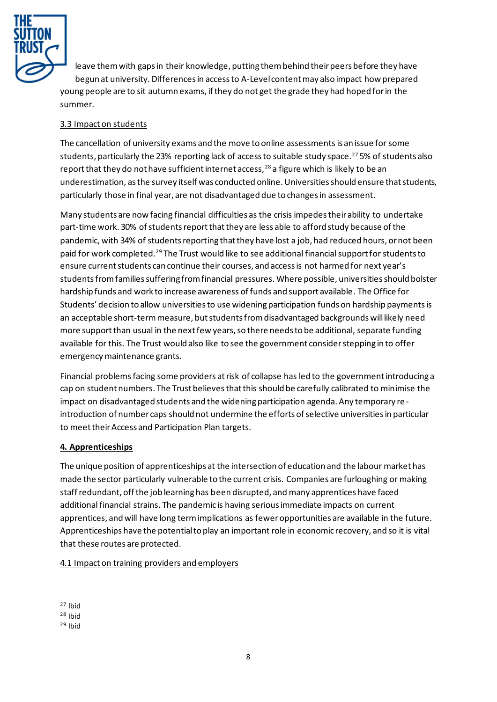

leave them with gaps in their knowledge, putting them behind their peers before they have begun at university. Differences in access to A-Level content may also impact how prepared young people are to sit autumn exams, if they do not get the grade they had hoped for in the summer.

## 3.3 Impact on students

The cancellation of university exams and the move to online assessments is an issue for some students, particularly the 23% reporting lack of access to suitable study space.<sup>27</sup> 5% of students also report that they do not have sufficient internet access,  $28$  a figure which is likely to be an underestimation, as the survey itself was conducted online. Universities should ensure that students, particularly those in final year, are not disadvantaged due to changes in assessment.

Many students are now facing financial difficulties as the crisis impedes their ability to undertake part-time work. 30% of students report that they are less able to afford study because of the pandemic, with 34% of students reporting that they have lost a job, had reduced hours, or not been paid for work completed.<sup>29</sup> The Trust would like to see additional financial support for students to ensure current students can continue their courses, and access is not harmed for next year's students from families suffering from financial pressures. Where possible, universities should bolster hardship funds and work to increase awareness of funds and support available. The Office for Students' decision to allow universities to use widening participation funds on hardship payments is an acceptable short-term measure, but students from disadvantaged backgrounds will likely need more support than usual in the next few years, so there needs to be additional, separate funding available for this. The Trust would also like to see the government consider stepping in to offer emergency maintenance grants.

Financial problems facing some providers at risk of collapse has led to the government introducing a cap on student numbers. The Trust believes that this should be carefully calibrated to minimise the impact on disadvantaged students and the widening participation agenda. Any temporary re introduction of number caps should not undermine the efforts of selective universities in particular to meet their Access and Participation Plan targets.

#### **4. Apprenticeships**

The unique position of apprenticeships at the intersection of education and the labour market has made the sector particularly vulnerable to the current crisis. Companies are furloughing or making staff redundant, off the job learning has been disrupted, and many apprentices have faced additional financial strains. The pandemic is having serious immediate impacts on current apprentices, and will have long term implications as fewer opportunities are available in the future. Apprenticeships have the potential to play an important role in economic recovery, and so it is vital that these routes are protected.

#### 4.1 Impact on training providers and employers

 $27$  Ibid

<sup>28</sup> Ibid

 $29$  Ibid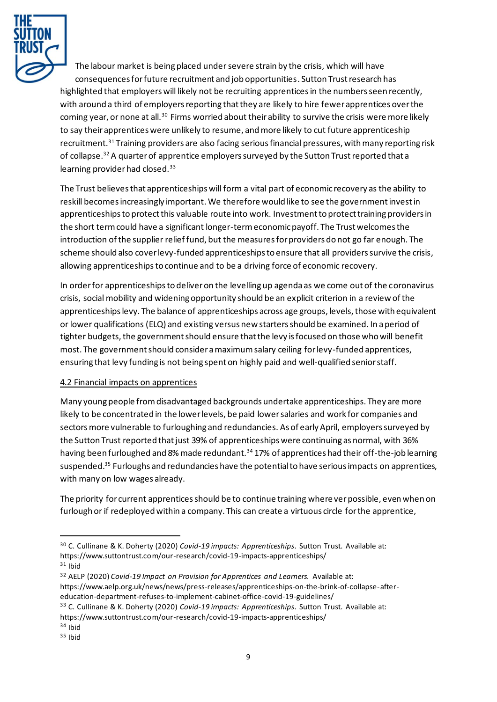

The labour market is being placed under severe strain by the crisis, which will have consequences for future recruitment and job opportunities. Sutton Trust research has highlighted that employers will likely not be recruiting apprenticesin the numbers seen recently, with around a third of employers reporting that they are likely to hire fewer apprentices over the coming year, or none at all.<sup>30</sup> Firms worried about their ability to survive the crisis were more likely to say their apprentices were unlikely to resume, and more likely to cut future apprenticeship recruitment.<sup>31</sup> Training providers are also facing serious financial pressures, with many reporting risk of collapse. <sup>32</sup> A quarter of apprentice employers surveyed by the Sutton Trust reported that a learning provider had closed.<sup>33</sup>

The Trust believes that apprenticeships will form a vital part of economic recovery as the ability to reskill becomes increasingly important. We therefore would like to see the government invest in apprenticeships to protect this valuable route into work. Investment to protect training providers in the short term could have a significant longer-term economic payoff. The Trust welcomes the introduction of the supplier relief fund, but the measures for providers do not go far enough. The scheme should also cover levy-funded apprenticeships to ensure that all providers survive the crisis, allowing apprenticeships to continue and to be a driving force of economic recovery.

In order for apprenticeships to deliver on the levelling up agenda as we come out of the coronavirus crisis, social mobility and widening opportunity should be an explicit criterion in a review of the apprenticeships levy. The balance of apprenticeships across age groups, levels, those with equivalent or lower qualifications (ELQ) and existing versus new starters should be examined. In a period of tighter budgets, the government should ensure that the levy is focused on those who will benefit most. The government should consider a maximum salary ceiling for levy-funded apprentices, ensuring that levy funding is not being spent on highly paid and well-qualified senior staff.

#### 4.2 Financial impacts on apprentices

Many young people from disadvantaged backgrounds undertake apprenticeships. They are more likely to be concentrated in the lower levels, be paid lower salaries and work for companies and sectors more vulnerable to furloughing and redundancies. As of early April, employers surveyed by the Sutton Trust reported that just 39% of apprenticeships were continuing as normal, with 36% having been furloughed and 8% made redundant.<sup>34</sup> 17% of apprentices had their off-the-job learning suspended.<sup>35</sup> Furloughs and redundancies have the potential to have serious impacts on apprentices, with many on low wages already.

The priority for current apprentices should be to continue training where ver possible, even when on furlough or if redeployed within a company. This can create a virtuous circle for the apprentice,

<sup>30</sup> C. Cullinane & K. Doherty (2020) *Covid-19 impacts: Apprenticeships*. Sutton Trust. Available at: <https://www.suttontrust.com/our-research/covid-19-impacts-apprenticeships/>  $31$  Ibid

<sup>32</sup> AELP (2020) *Covid-19 Impact on Provision for Apprentices and Learners.* Available at: [https://www.aelp.org.uk/news/news/press-releases/apprenticeships-on-the-brink-of-collapse-after](https://www.aelp.org.uk/news/news/press-releases/apprenticeships-on-the-brink-of-collapse-after-education-department-refuses-to-implement-cabinet-office-covid-19-guidelines/)[education-department-refuses-to-implement-cabinet-office-covid-19-guidelines/](https://www.aelp.org.uk/news/news/press-releases/apprenticeships-on-the-brink-of-collapse-after-education-department-refuses-to-implement-cabinet-office-covid-19-guidelines/)

<sup>33</sup> C. Cullinane & K. Doherty (2020) *Covid-19 impacts: Apprenticeships*. Sutton Trust. Available at: <https://www.suttontrust.com/our-research/covid-19-impacts-apprenticeships/>

 $34$  Ibid

<sup>35</sup> Ibid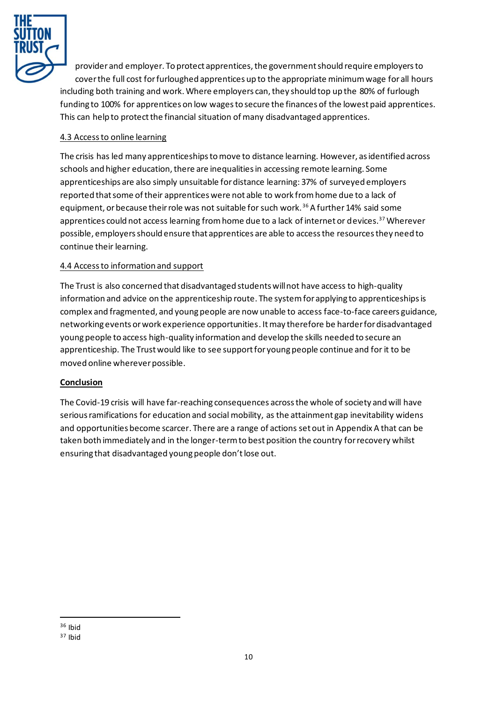

provider and employer. To protect apprentices, the government should require employers to cover the full cost for furloughed apprentices up to the appropriate minimum wage for all hours including both training and work. Where employers can, they should top up the 80% of furlough funding to 100% for apprentices on low wages to secure the finances of the lowest paid apprentices. This can help to protect the financial situation of many disadvantaged apprentices.

## 4.3 Access to online learning

The crisis has led many apprenticeships to move to distance learning. However, as identified across schools and higher education, there are inequalities in accessing remote learning. Some apprenticeships are also simply unsuitable for distance learning: 37% of surveyed employers reported that some of their apprentices were not able to work from home due to a lack of equipment, or because their role was not suitable for such work.<sup>36</sup> A further 14% said some apprentices could not access learning from home due to a lack of internet or devices.<sup>37</sup> Wherever possible, employers should ensure that apprentices are able to access the resources they need to continue their learning.

## 4.4 Access to information and support

The Trust is also concerned that disadvantaged students will not have access to high-quality information and advice on the apprenticeship route. The system for applying to apprenticeships is complex and fragmented, and young people are now unable to access face-to-face careers guidance, networking events or work experience opportunities. It may therefore be harder for disadvantaged young people to access high-quality information and develop the skills needed to secure an apprenticeship. The Trust would like to see support for young people continue and for it to be moved online wherever possible.

#### **Conclusion**

The Covid-19 crisis will have far-reaching consequences across the whole of society and will have serious ramifications for education and social mobility, as the attainment gap inevitability widens and opportunities become scarcer. There are a range of actions set out in Appendix A that can be taken both immediately and in the longer-term to best position the country for recovery whilst ensuring that disadvantaged young people don't lose out.

 $36$  Ibid

<sup>37</sup> Ibid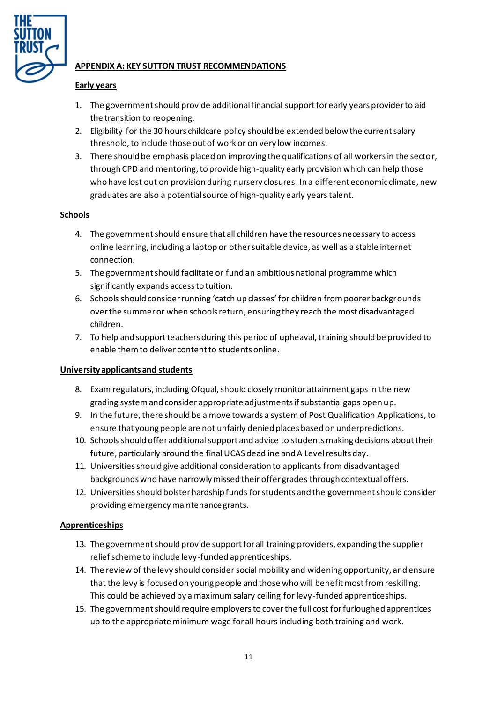

## **APPENDIX A: KEY SUTTON TRUST RECOMMENDATIONS**

## **Early years**

- 1. The government should provide additional financial support for early years provider to aid the transition to reopening.
- 2. Eligibility for the 30 hours childcare policy should be extended below the current salary threshold, to include those out of work or on very low incomes.
- 3. There should be emphasis placed on improving the qualifications of all workers in the sector, through CPD and mentoring, to provide high-quality early provision which can help those who have lost out on provision during nursery closures. In a different economic climate, new graduates are also a potential source of high-quality early years talent.

## **Schools**

- 4. The government should ensure that all children have the resources necessary to access online learning, including a laptop or other suitable device, as well as a stable internet connection.
- 5. The government should facilitate or fund an ambitious national programme which significantly expands access to tuition.
- 6. Schools should consider running 'catch up classes' for children from poorer backgrounds over the summer or when schools return, ensuring they reach the most disadvantaged children.
- 7. To help and support teachers during this period of upheaval, training should be provided to enable themto deliver content to students online.

#### **University applicants and students**

- 8. Exam regulators, including Ofqual, should closely monitor attainment gaps in the new grading system and consider appropriate adjustments if substantial gaps open up.
- 9. In the future, there should be a move towards a system of Post Qualification Applications, to ensure that young people are not unfairly denied places based on underpredictions.
- 10. Schools should offer additional support and advice to students making decisions abouttheir future, particularly around the final UCAS deadline and A Level results day.
- 11. Universities should give additional consideration to applicants from disadvantaged backgrounds who have narrowly missed their offer grades through contextual offers.
- 12. Universities should bolster hardship fundsfor students and the governmentshould consider providing emergency maintenance grants.

#### **Apprenticeships**

- 13. The government should provide support for all training providers, expanding the supplier relief scheme to include levy-funded apprenticeships.
- 14. The review of the levy should consider social mobility and widening opportunity, and ensure that the levy is focused on young people and those who will benefit most from reskilling. This could be achieved by a maximum salary ceiling for levy-funded apprenticeships.
- 15. The government should require employers to cover the full cost for furloughed apprentices up to the appropriate minimum wage for all hours including both training and work.